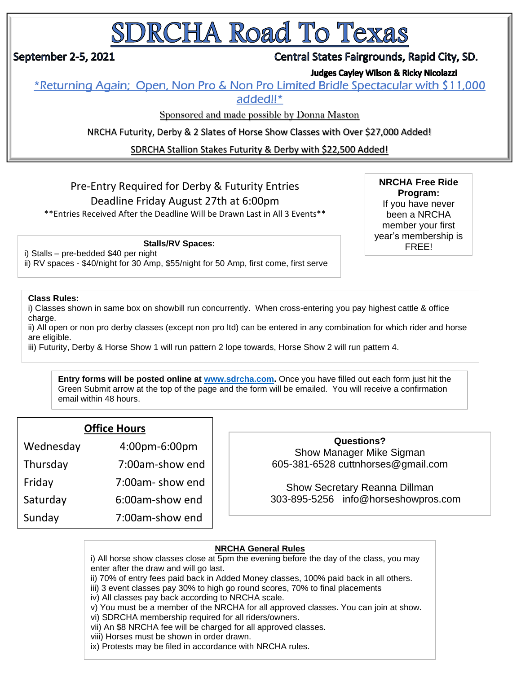# SDRCHA Road To Texas

## September 2-5, 2021

## Central States Fairgrounds, Rapid City, SD.

**Judges Cayley Wilson & Ricky Nicolazzi** 

\*Returning Again; Open, Non Pro & Non Pro Limited Bridle Spectacular with \$11,000 added!!\*

Sponsored and made possible by Donna Maston

NRCHA Futurity, Derby & 2 Slates of Horse Show Classes with Over \$27,000 Added!

SDRCHA Stallion Stakes Futurity & Derby with \$22,500 Added!

## Pre-Entry Required for Derby & Futurity Entries Deadline Friday August 27th at 6:00pm

\*\*Entries Received After the Deadline Will be Drawn Last in All 3 Events\*\*

**NRCHA Free Ride Program:** If you have never been a NRCHA member your first year's membership is

#### Stalls/RV Spaces: **FREE!**

i) Stalls – pre-bedded \$40 per night

ii) RV spaces - \$40/night for 30 Amp, \$55/night for 50 Amp, first come, first serve

#### **Class Rules:**

i) Classes shown in same box on showbill run concurrently. When cross-entering you pay highest cattle & office charge.

ii) All open or non pro derby classes (except non pro ltd) can be entered in any combination for which rider and horse are eligible.

iii) Futurity, Derby & Horse Show 1 will run pattern 2 lope towards, Horse Show 2 will run pattern 4.

**Entry forms will be posted online at [www.sdrcha.com.](http://www.sdrcha.com/)** Once you have filled out each form just hit the Green Submit arrow at the top of the page and the form will be emailed. You will receive a confirmation email within 48 hours.

#### **Office Hours**

| Wednesday | 4:00pm-6:00pm   |
|-----------|-----------------|
| Thursday  | 7:00am-show end |
| Friday    | 7:00am-show end |
| Saturday  | 6:00am-show end |
| Sunday    | 7:00am-show end |

**Questions?** Show Manager Mike Sigman 605-381-6528 cuttnhorses@gmail.com

Show Secretary Reanna Dillman 303-895-5256 info@horseshowpros.com

#### **NRCHA General Rules**

i) All horse show classes close at 5pm the evening before the day of the class, you may enter after the draw and will go last.

- ii) 70% of entry fees paid back in Added Money classes, 100% paid back in all others.
- iii) 3 event classes pay 30% to high go round scores, 70% to final placements
- iv) All classes pay back according to NRCHA scale.

v) You must be a member of the NRCHA for all approved classes. You can join at show.

vi) SDRCHA membership required for all riders/owners.

vii) An \$8 NRCHA fee will be charged for all approved classes.

viii) Horses must be shown in order drawn.

ix) Protests may be filed in accordance with NRCHA rules.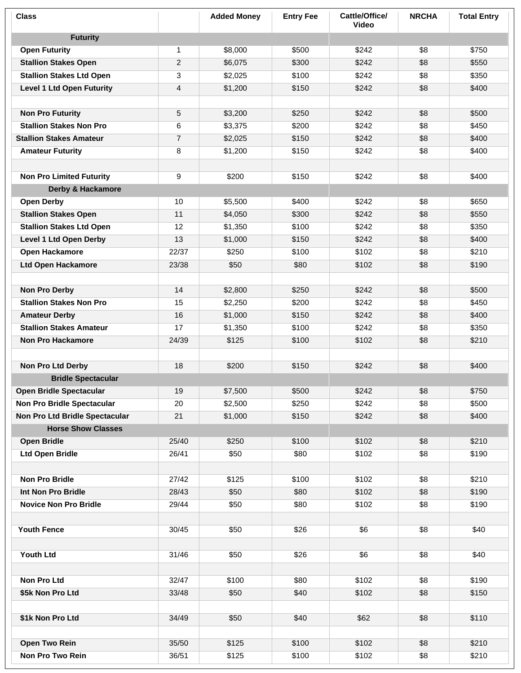| <b>Class</b>                     |                | <b>Added Money</b> | <b>Entry Fee</b> | Cattle/Office/<br><b>Video</b> | <b>NRCHA</b> | <b>Total Entry</b> |
|----------------------------------|----------------|--------------------|------------------|--------------------------------|--------------|--------------------|
| <b>Futurity</b>                  |                |                    |                  |                                |              |                    |
| <b>Open Futurity</b>             | $\mathbf{1}$   | \$8,000            | \$500            | \$242                          | \$8          | \$750              |
| <b>Stallion Stakes Open</b>      | $\overline{2}$ | \$6,075            | \$300            | \$242                          | \$8          | \$550              |
| <b>Stallion Stakes Ltd Open</b>  | 3              | \$2,025            | \$100            | \$242                          | \$8          | \$350              |
| <b>Level 1 Ltd Open Futurity</b> | 4              | \$1,200            | \$150            | \$242                          | \$8          | \$400              |
|                                  |                |                    |                  |                                |              |                    |
| <b>Non Pro Futurity</b>          | 5              | \$3,200            | \$250            | \$242                          | \$8          | \$500              |
| <b>Stallion Stakes Non Pro</b>   | 6              | \$3,375            | \$200            | \$242                          | \$8          | \$450              |
| <b>Stallion Stakes Amateur</b>   | $\overline{7}$ | \$2,025            | \$150            | \$242                          | \$8          | \$400              |
| <b>Amateur Futurity</b>          | 8              | \$1,200            | \$150            | \$242                          | \$8          | \$400              |
|                                  |                |                    |                  |                                |              |                    |
| <b>Non Pro Limited Futurity</b>  | 9              | \$200              | \$150            | \$242                          | \$8          | \$400              |
| Derby & Hackamore                |                |                    |                  |                                |              |                    |
| <b>Open Derby</b>                | 10             | \$5,500            | \$400            | \$242                          | \$8          | \$650              |
| <b>Stallion Stakes Open</b>      | 11             | \$4,050            | \$300            | \$242                          | \$8          | \$550              |
| <b>Stallion Stakes Ltd Open</b>  | 12             | \$1,350            | \$100            | \$242                          | \$8          | \$350              |
| Level 1 Ltd Open Derby           | 13             | \$1,000            | \$150            | \$242                          | \$8          | \$400              |
| <b>Open Hackamore</b>            | 22/37          | \$250              | \$100            | \$102                          | \$8          | \$210              |
| <b>Ltd Open Hackamore</b>        | 23/38          | \$50               | \$80             | \$102                          | \$8          | \$190              |
|                                  |                |                    |                  |                                |              |                    |
| <b>Non Pro Derby</b>             | 14             | \$2,800            | \$250            | \$242                          | \$8          | \$500              |
| <b>Stallion Stakes Non Pro</b>   | 15             | \$2,250            | \$200            | \$242                          | \$8          | \$450              |
| <b>Amateur Derby</b>             | 16             | \$1,000            | \$150            | \$242                          | \$8          | \$400              |
| <b>Stallion Stakes Amateur</b>   | 17             | \$1,350            | \$100            | \$242                          | \$8          | \$350              |
| <b>Non Pro Hackamore</b>         | 24/39          | \$125              | \$100            | \$102                          | \$8          | \$210              |
|                                  |                |                    |                  |                                |              |                    |
| Non Pro Ltd Derby                | 18             | \$200              | \$150            | \$242                          | \$8          | \$400              |
| <b>Bridle Spectacular</b>        |                |                    |                  |                                |              |                    |
| <b>Open Bridle Spectacular</b>   | 19             | \$7,500            | \$500            | \$242                          | \$8          | \$750              |
| Non Pro Bridle Spectacular       | 20             | \$2,500            | \$250            | \$242                          | \$8          | \$500              |
| Non Pro Ltd Bridle Spectacular   | 21             | \$1,000            | \$150            | \$242                          | \$8          | \$400              |
| <b>Horse Show Classes</b>        |                |                    |                  |                                |              |                    |
| <b>Open Bridle</b>               | 25/40          | \$250              | \$100            | \$102                          | \$8          | \$210              |
| <b>Ltd Open Bridle</b>           | 26/41          | \$50               | \$80             | \$102                          | \$8          | \$190              |
|                                  |                |                    |                  |                                |              |                    |
| <b>Non Pro Bridle</b>            | 27/42          | \$125              | \$100            | \$102                          | \$8          | \$210              |
| Int Non Pro Bridle               | 28/43          | \$50               | \$80             | \$102                          | \$8          | \$190              |
| <b>Novice Non Pro Bridle</b>     | 29/44          | \$50               | \$80             | \$102                          | \$8          | \$190              |
|                                  |                |                    |                  |                                |              |                    |
| <b>Youth Fence</b>               | 30/45          | \$50               | \$26             | \$6                            | \$8          | \$40               |
|                                  |                |                    |                  |                                |              |                    |
| <b>Youth Ltd</b>                 | 31/46          | \$50               | \$26             | \$6                            | \$8          | \$40               |
|                                  |                |                    |                  |                                |              |                    |
| Non Pro Ltd                      | 32/47          | \$100              | \$80             | \$102                          | \$8          | \$190              |
| \$5k Non Pro Ltd                 | 33/48          | \$50               | \$40             | \$102                          | \$8          | \$150              |
|                                  |                |                    |                  |                                |              |                    |
| \$1k Non Pro Ltd                 | 34/49          | \$50               | \$40             | \$62                           | \$8          | \$110              |
|                                  |                |                    |                  |                                |              |                    |
| <b>Open Two Rein</b>             | 35/50          | \$125              | \$100            | \$102                          | \$8          | \$210              |
| Non Pro Two Rein                 | 36/51          | \$125              | \$100            | \$102                          | \$8          | \$210              |